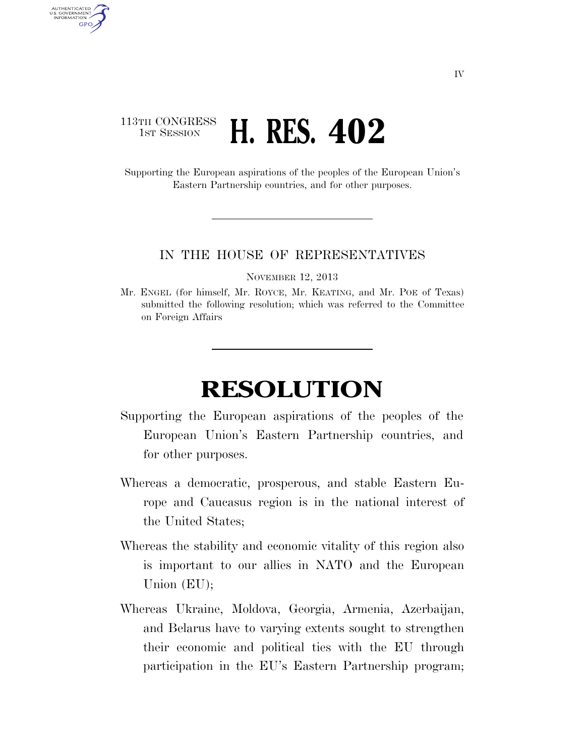## 113TH CONGRESS **1ST SESSION H. RES. 402**

AUTHENTICATED U.S. GOVERNMENT **GPO** 

> Supporting the European aspirations of the peoples of the European Union's Eastern Partnership countries, and for other purposes.

## IN THE HOUSE OF REPRESENTATIVES

NOVEMBER 12, 2013

Mr. ENGEL (for himself, Mr. ROYCE, Mr. KEATING, and Mr. POE of Texas) submitted the following resolution; which was referred to the Committee on Foreign Affairs

## **RESOLUTION**

- Supporting the European aspirations of the peoples of the European Union's Eastern Partnership countries, and for other purposes.
- Whereas a democratic, prosperous, and stable Eastern Europe and Caucasus region is in the national interest of the United States;
- Whereas the stability and economic vitality of this region also is important to our allies in NATO and the European Union (EU);
- Whereas Ukraine, Moldova, Georgia, Armenia, Azerbaijan, and Belarus have to varying extents sought to strengthen their economic and political ties with the EU through participation in the EU's Eastern Partnership program;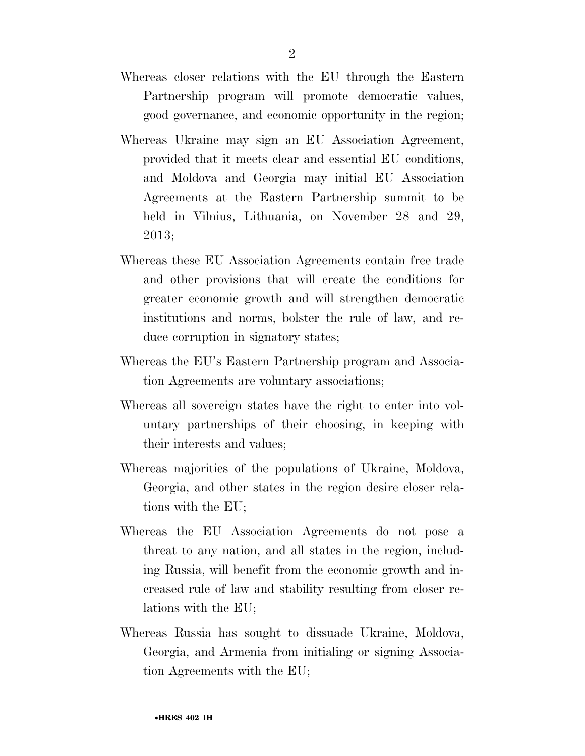- Whereas closer relations with the EU through the Eastern Partnership program will promote democratic values, good governance, and economic opportunity in the region;
- Whereas Ukraine may sign an EU Association Agreement, provided that it meets clear and essential EU conditions, and Moldova and Georgia may initial EU Association Agreements at the Eastern Partnership summit to be held in Vilnius, Lithuania, on November 28 and 29, 2013;
- Whereas these EU Association Agreements contain free trade and other provisions that will create the conditions for greater economic growth and will strengthen democratic institutions and norms, bolster the rule of law, and reduce corruption in signatory states;
- Whereas the EU's Eastern Partnership program and Association Agreements are voluntary associations;
- Whereas all sovereign states have the right to enter into voluntary partnerships of their choosing, in keeping with their interests and values;
- Whereas majorities of the populations of Ukraine, Moldova, Georgia, and other states in the region desire closer relations with the EU;
- Whereas the EU Association Agreements do not pose a threat to any nation, and all states in the region, including Russia, will benefit from the economic growth and increased rule of law and stability resulting from closer relations with the EU;
- Whereas Russia has sought to dissuade Ukraine, Moldova, Georgia, and Armenia from initialing or signing Association Agreements with the EU;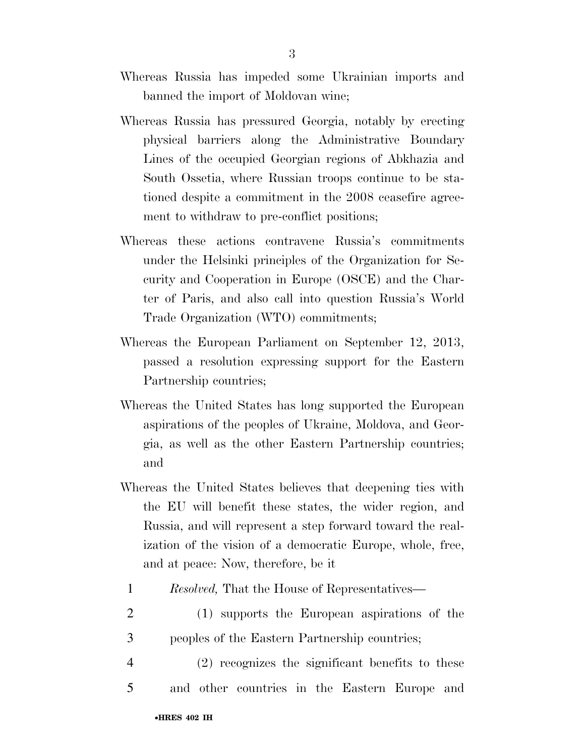- Whereas Russia has impeded some Ukrainian imports and banned the import of Moldovan wine;
- Whereas Russia has pressured Georgia, notably by erecting physical barriers along the Administrative Boundary Lines of the occupied Georgian regions of Abkhazia and South Ossetia, where Russian troops continue to be stationed despite a commitment in the 2008 ceasefire agreement to withdraw to pre-conflict positions;
- Whereas these actions contravene Russia's commitments under the Helsinki principles of the Organization for Security and Cooperation in Europe (OSCE) and the Charter of Paris, and also call into question Russia's World Trade Organization (WTO) commitments;
- Whereas the European Parliament on September 12, 2013, passed a resolution expressing support for the Eastern Partnership countries;
- Whereas the United States has long supported the European aspirations of the peoples of Ukraine, Moldova, and Georgia, as well as the other Eastern Partnership countries; and
- Whereas the United States believes that deepening ties with the EU will benefit these states, the wider region, and Russia, and will represent a step forward toward the realization of the vision of a democratic Europe, whole, free, and at peace: Now, therefore, be it
	- 1 *Resolved,* That the House of Representatives—
- 2 (1) supports the European aspirations of the 3 peoples of the Eastern Partnership countries;
- 4 (2) recognizes the significant benefits to these 5 and other countries in the Eastern Europe and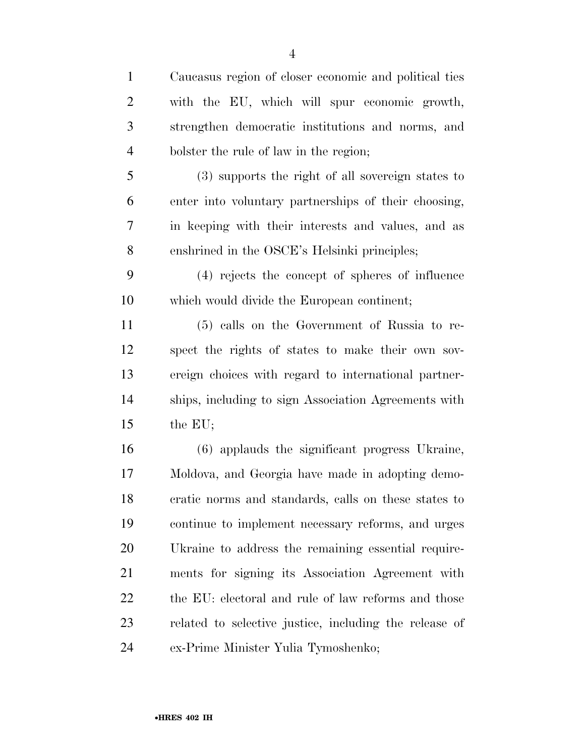| $\mathbf{1}$   | Caucasus region of closer economic and political ties  |
|----------------|--------------------------------------------------------|
| $\overline{2}$ | with the EU, which will spur economic growth,          |
| 3              | strengthen democratic institutions and norms, and      |
| $\overline{4}$ | bolster the rule of law in the region;                 |
| 5              | (3) supports the right of all sovereign states to      |
| 6              | enter into voluntary partnerships of their choosing,   |
| 7              | in keeping with their interests and values, and as     |
| 8              | enshrined in the OSCE's Helsinki principles;           |
| 9              | (4) rejects the concept of spheres of influence        |
| 10             | which would divide the European continent;             |
| 11             | (5) calls on the Government of Russia to re-           |
| 12             | spect the rights of states to make their own sov-      |
| 13             | ereign choices with regard to international partner-   |
| 14             | ships, including to sign Association Agreements with   |
| 15             | the EU;                                                |
| 16             | (6) applauds the significant progress Ukraine,         |
| 17             | Moldova, and Georgia have made in adopting demo-       |
| 18             | cratic norms and standards, calls on these states to   |
| 19             | continue to implement necessary reforms, and urges     |
| 20             | Ukraine to address the remaining essential require-    |
| 21             | ments for signing its Association Agreement with       |
| 22             | the EU: electoral and rule of law reforms and those    |
| 23             | related to selective justice, including the release of |
| 24             | ex-Prime Minister Yulia Tymoshenko;                    |